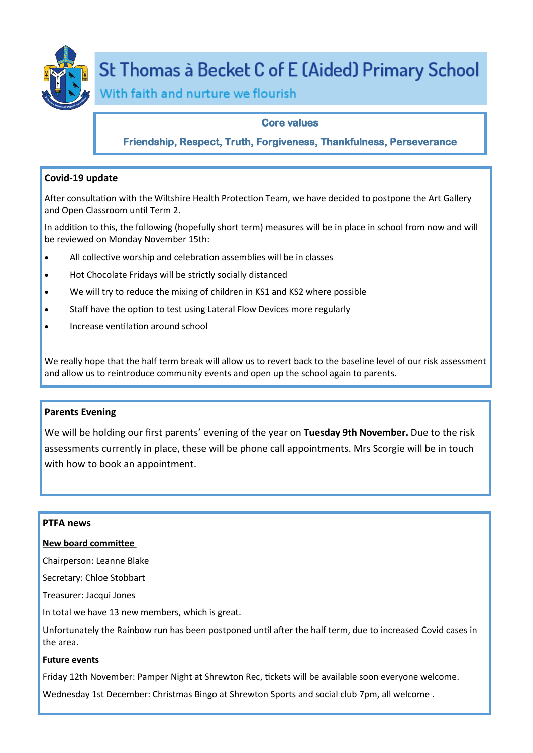

# St Thomas à Becket C of E (Aided) Primary School

With faith and nurture we flourish

# **Core values**

# **Friendship, Respect, Truth, Forgiveness, Thankfulness, Perseverance**

# **Covid-19 update**

After consultation with the Wiltshire Health Protection Team, we have decided to postpone the Art Gallery and Open Classroom until Term 2.

In addition to this, the following (hopefully short term) measures will be in place in school from now and will be reviewed on Monday November 15th:

- All collective worship and celebration assemblies will be in classes
- Hot Chocolate Fridays will be strictly socially distanced
- We will try to reduce the mixing of children in KS1 and KS2 where possible
- Staff have the option to test using Lateral Flow Devices more regularly
- Increase ventilation around school

We really hope that the half term break will allow us to revert back to the baseline level of our risk assessment and allow us to reintroduce community events and open up the school again to parents.

## **Parents Evening**

We will be holding our first parents' evening of the year on **Tuesday 9th November.** Due to the risk assessments currently in place, these will be phone call appointments. Mrs Scorgie will be in touch with how to book an appointment.

## **PTFA news**

#### **New board committee**

Chairperson: Leanne Blake

Secretary: Chloe Stobbart

Treasurer: Jacqui Jones

In total we have 13 new members, which is great.

Unfortunately the Rainbow run has been postponed until after the half term, due to increased Covid cases in the area.

# **Future events**

Friday 12th November: Pamper Night at Shrewton Rec, tickets will be available soon everyone welcome.

Wednesday 1st December: Christmas Bingo at Shrewton Sports and social club 7pm, all welcome .